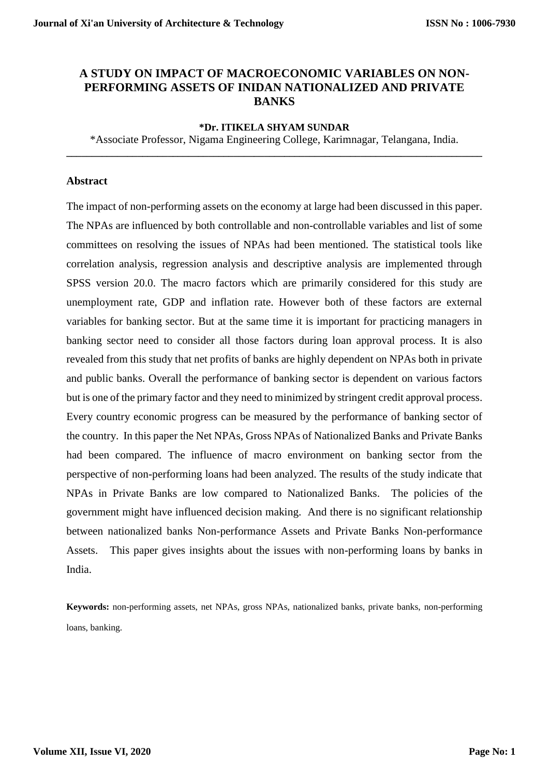# **A STUDY ON IMPACT OF MACROECONOMIC VARIABLES ON NON-PERFORMING ASSETS OF INIDAN NATIONALIZED AND PRIVATE BANKS**

## **\*Dr. ITIKELA SHYAM SUNDAR**

\*Associate Professor, Nigama Engineering College, Karimnagar, Telangana, India. **\_\_\_\_\_\_\_\_\_\_\_\_\_\_\_\_\_\_\_\_\_\_\_\_\_\_\_\_\_\_\_\_\_\_\_\_\_\_\_\_\_\_\_\_\_\_\_\_\_\_\_\_\_\_\_\_\_\_\_\_\_\_\_\_\_\_\_\_\_\_\_\_\_\_\_\_\_\_\_\_\_\_**

## **Abstract**

The impact of non-performing assets on the economy at large had been discussed in this paper. The NPAs are influenced by both controllable and non-controllable variables and list of some committees on resolving the issues of NPAs had been mentioned. The statistical tools like correlation analysis, regression analysis and descriptive analysis are implemented through SPSS version 20.0. The macro factors which are primarily considered for this study are unemployment rate, GDP and inflation rate. However both of these factors are external variables for banking sector. But at the same time it is important for practicing managers in banking sector need to consider all those factors during loan approval process. It is also revealed from this study that net profits of banks are highly dependent on NPAs both in private and public banks. Overall the performance of banking sector is dependent on various factors but is one of the primary factor and they need to minimized by stringent credit approval process. Every country economic progress can be measured by the performance of banking sector of the country. In this paper the Net NPAs, Gross NPAs of Nationalized Banks and Private Banks had been compared. The influence of macro environment on banking sector from the perspective of non-performing loans had been analyzed. The results of the study indicate that NPAs in Private Banks are low compared to Nationalized Banks. The policies of the government might have influenced decision making. And there is no significant relationship between nationalized banks Non-performance Assets and Private Banks Non-performance Assets. This paper gives insights about the issues with non-performing loans by banks in India.

**Keywords:** non-performing assets, net NPAs, gross NPAs, nationalized banks, private banks, non-performing loans, banking.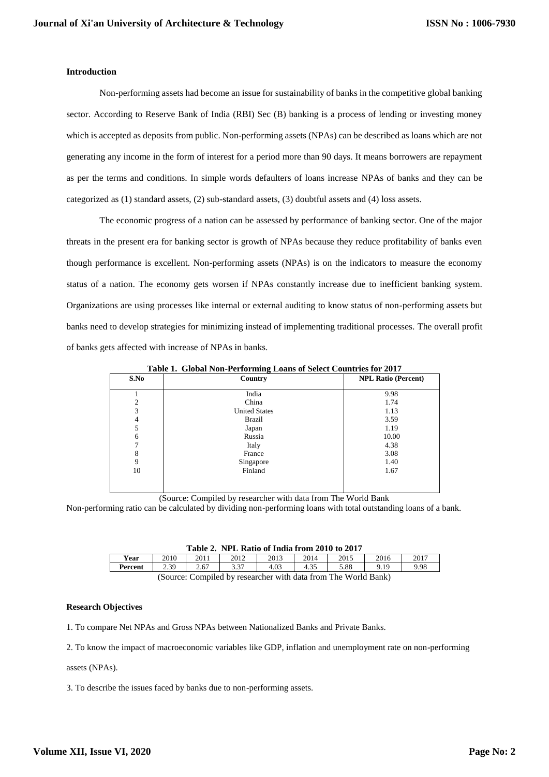## **Introduction**

Non-performing assets had become an issue for sustainability of banks in the competitive global banking sector. According to Reserve Bank of India (RBI) Sec (B) banking is a process of lending or investing money which is accepted as deposits from public. Non-performing assets (NPAs) can be described as loans which are not generating any income in the form of interest for a period more than 90 days. It means borrowers are repayment as per the terms and conditions. In simple words defaulters of loans increase NPAs of banks and they can be categorized as (1) standard assets, (2) sub-standard assets, (3) doubtful assets and (4) loss assets.

The economic progress of a nation can be assessed by performance of banking sector. One of the major threats in the present era for banking sector is growth of NPAs because they reduce profitability of banks even though performance is excellent. Non-performing assets (NPAs) is on the indicators to measure the economy status of a nation. The economy gets worsen if NPAs constantly increase due to inefficient banking system. Organizations are using processes like internal or external auditing to know status of non-performing assets but banks need to develop strategies for minimizing instead of implementing traditional processes. The overall profit of banks gets affected with increase of NPAs in banks.

| S.No           | Country              | <b>NPL Ratio (Percent)</b> |  |  |
|----------------|----------------------|----------------------------|--|--|
|                | India                | 9.98                       |  |  |
| $\overline{2}$ | China                | 1.74                       |  |  |
| 3              | <b>United States</b> | 1.13                       |  |  |
| 4              | Brazil               | 3.59                       |  |  |
| 5              | Japan                | 1.19                       |  |  |
| 6              | Russia               | 10.00                      |  |  |
| 7              | Italy                | 4.38                       |  |  |
| 8              | France               | 3.08                       |  |  |
| 9              | Singapore            | 1.40                       |  |  |
| 10             | Finland              | 1.67                       |  |  |
|                |                      |                            |  |  |
|                |                      |                            |  |  |

**Table 1. Global Non-Performing Loans of Select Countries for 2017**

(Source: Compiled by researcher with data from The World Bank

Non-performing ratio can be calculated by dividing non-performing loans with total outstanding loans of a bank.

| Table 2. NPL Ratio of India from 2010 to 2017                        |  |  |  |  |  |  |  |  |  |  |  |
|----------------------------------------------------------------------|--|--|--|--|--|--|--|--|--|--|--|
| 2010<br>2012<br>2013<br>2017<br>2011<br>2014<br>2015<br>2016<br>Vear |  |  |  |  |  |  |  |  |  |  |  |
| 3.37<br>5.88<br>4.03<br>4.35<br>2.39<br>2.67<br>9.98<br>Percent      |  |  |  |  |  |  |  |  |  |  |  |
| $(Source, Commiled by researcher with data from The World Rank)$     |  |  |  |  |  |  |  |  |  |  |  |

(Source: Compiled by researcher with data from The World Bank)

## **Research Objectives**

1. To compare Net NPAs and Gross NPAs between Nationalized Banks and Private Banks.

2. To know the impact of macroeconomic variables like GDP, inflation and unemployment rate on non-performing

assets (NPAs).

3. To describe the issues faced by banks due to non-performing assets.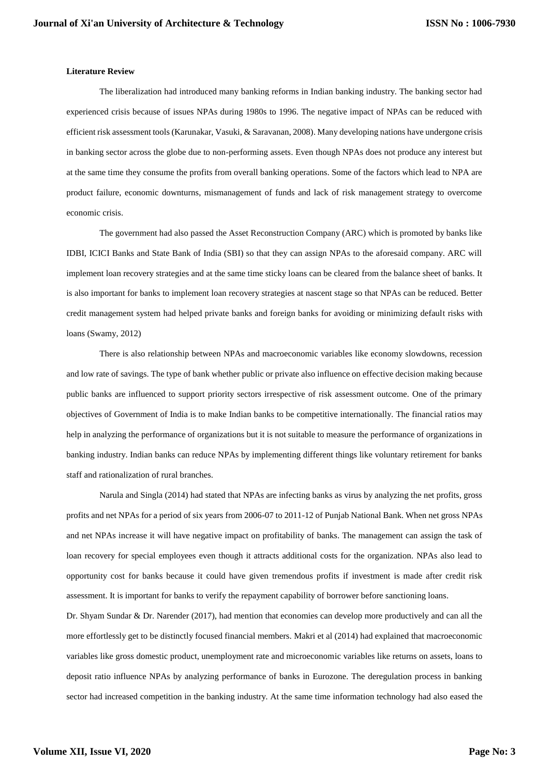#### **Literature Review**

The liberalization had introduced many banking reforms in Indian banking industry. The banking sector had experienced crisis because of issues NPAs during 1980s to 1996. The negative impact of NPAs can be reduced with efficient risk assessment tools (Karunakar, Vasuki, & Saravanan, 2008). Many developing nations have undergone crisis in banking sector across the globe due to non-performing assets. Even though NPAs does not produce any interest but at the same time they consume the profits from overall banking operations. Some of the factors which lead to NPA are product failure, economic downturns, mismanagement of funds and lack of risk management strategy to overcome economic crisis.

The government had also passed the Asset Reconstruction Company (ARC) which is promoted by banks like IDBI, ICICI Banks and State Bank of India (SBI) so that they can assign NPAs to the aforesaid company. ARC will implement loan recovery strategies and at the same time sticky loans can be cleared from the balance sheet of banks. It is also important for banks to implement loan recovery strategies at nascent stage so that NPAs can be reduced. Better credit management system had helped private banks and foreign banks for avoiding or minimizing default risks with loans (Swamy, 2012)

There is also relationship between NPAs and macroeconomic variables like economy slowdowns, recession and low rate of savings. The type of bank whether public or private also influence on effective decision making because public banks are influenced to support priority sectors irrespective of risk assessment outcome. One of the primary objectives of Government of India is to make Indian banks to be competitive internationally. The financial ratios may help in analyzing the performance of organizations but it is not suitable to measure the performance of organizations in banking industry. Indian banks can reduce NPAs by implementing different things like voluntary retirement for banks staff and rationalization of rural branches.

Narula and Singla (2014) had stated that NPAs are infecting banks as virus by analyzing the net profits, gross profits and net NPAs for a period of six years from 2006-07 to 2011-12 of Punjab National Bank. When net gross NPAs and net NPAs increase it will have negative impact on profitability of banks. The management can assign the task of loan recovery for special employees even though it attracts additional costs for the organization. NPAs also lead to opportunity cost for banks because it could have given tremendous profits if investment is made after credit risk assessment. It is important for banks to verify the repayment capability of borrower before sanctioning loans.

Dr. Shyam Sundar & Dr. Narender (2017), had mention that economies can develop more productively and can all the more effortlessly get to be distinctly focused financial members. Makri et al (2014) had explained that macroeconomic variables like gross domestic product, unemployment rate and microeconomic variables like returns on assets, loans to deposit ratio influence NPAs by analyzing performance of banks in Eurozone. The deregulation process in banking sector had increased competition in the banking industry. At the same time information technology had also eased the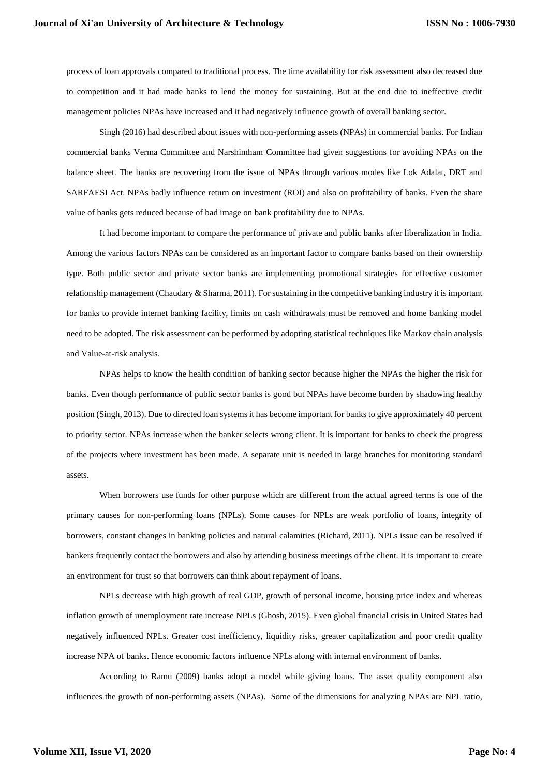process of loan approvals compared to traditional process. The time availability for risk assessment also decreased due to competition and it had made banks to lend the money for sustaining. But at the end due to ineffective credit management policies NPAs have increased and it had negatively influence growth of overall banking sector.

Singh (2016) had described about issues with non-performing assets (NPAs) in commercial banks. For Indian commercial banks Verma Committee and Narshimham Committee had given suggestions for avoiding NPAs on the balance sheet. The banks are recovering from the issue of NPAs through various modes like Lok Adalat, DRT and SARFAESI Act. NPAs badly influence return on investment (ROI) and also on profitability of banks. Even the share value of banks gets reduced because of bad image on bank profitability due to NPAs.

 It had become important to compare the performance of private and public banks after liberalization in India. Among the various factors NPAs can be considered as an important factor to compare banks based on their ownership type. Both public sector and private sector banks are implementing promotional strategies for effective customer relationship management (Chaudary & Sharma, 2011). For sustaining in the competitive banking industry it is important for banks to provide internet banking facility, limits on cash withdrawals must be removed and home banking model need to be adopted. The risk assessment can be performed by adopting statistical techniques like Markov chain analysis and Value-at-risk analysis.

NPAs helps to know the health condition of banking sector because higher the NPAs the higher the risk for banks. Even though performance of public sector banks is good but NPAs have become burden by shadowing healthy position (Singh, 2013). Due to directed loan systems it has become important for banks to give approximately 40 percent to priority sector. NPAs increase when the banker selects wrong client. It is important for banks to check the progress of the projects where investment has been made. A separate unit is needed in large branches for monitoring standard assets.

When borrowers use funds for other purpose which are different from the actual agreed terms is one of the primary causes for non-performing loans (NPLs). Some causes for NPLs are weak portfolio of loans, integrity of borrowers, constant changes in banking policies and natural calamities (Richard, 2011). NPLs issue can be resolved if bankers frequently contact the borrowers and also by attending business meetings of the client. It is important to create an environment for trust so that borrowers can think about repayment of loans.

NPLs decrease with high growth of real GDP, growth of personal income, housing price index and whereas inflation growth of unemployment rate increase NPLs (Ghosh, 2015). Even global financial crisis in United States had negatively influenced NPLs. Greater cost inefficiency, liquidity risks, greater capitalization and poor credit quality increase NPA of banks. Hence economic factors influence NPLs along with internal environment of banks.

According to Ramu (2009) banks adopt a model while giving loans. The asset quality component also influences the growth of non-performing assets (NPAs). Some of the dimensions for analyzing NPAs are NPL ratio,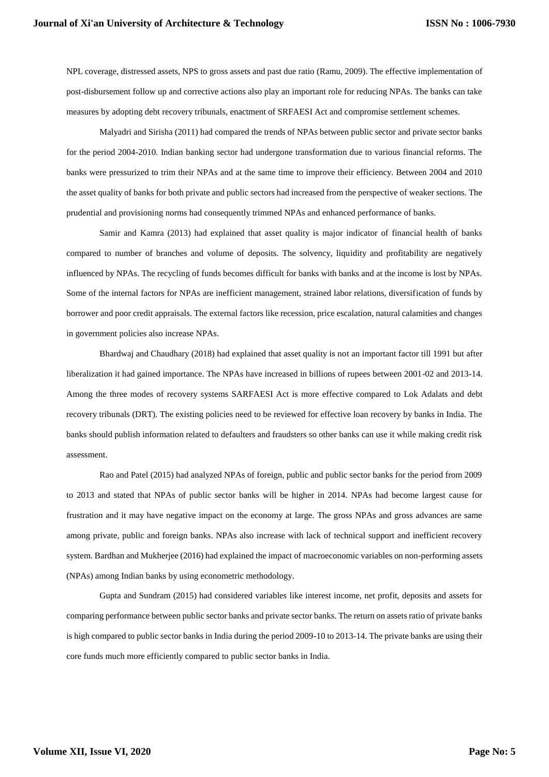NPL coverage, distressed assets, NPS to gross assets and past due ratio (Ramu, 2009). The effective implementation of post-disbursement follow up and corrective actions also play an important role for reducing NPAs. The banks can take measures by adopting debt recovery tribunals, enactment of SRFAESI Act and compromise settlement schemes.

Malyadri and Sirisha (2011) had compared the trends of NPAs between public sector and private sector banks for the period 2004-2010. Indian banking sector had undergone transformation due to various financial reforms. The banks were pressurized to trim their NPAs and at the same time to improve their efficiency. Between 2004 and 2010 the asset quality of banks for both private and public sectors had increased from the perspective of weaker sections. The prudential and provisioning norms had consequently trimmed NPAs and enhanced performance of banks.

Samir and Kamra (2013) had explained that asset quality is major indicator of financial health of banks compared to number of branches and volume of deposits. The solvency, liquidity and profitability are negatively influenced by NPAs. The recycling of funds becomes difficult for banks with banks and at the income is lost by NPAs. Some of the internal factors for NPAs are inefficient management, strained labor relations, diversification of funds by borrower and poor credit appraisals. The external factors like recession, price escalation, natural calamities and changes in government policies also increase NPAs.

Bhardwaj and Chaudhary (2018) had explained that asset quality is not an important factor till 1991 but after liberalization it had gained importance. The NPAs have increased in billions of rupees between 2001-02 and 2013-14. Among the three modes of recovery systems SARFAESI Act is more effective compared to Lok Adalats and debt recovery tribunals (DRT). The existing policies need to be reviewed for effective loan recovery by banks in India. The banks should publish information related to defaulters and fraudsters so other banks can use it while making credit risk assessment.

Rao and Patel (2015) had analyzed NPAs of foreign, public and public sector banks for the period from 2009 to 2013 and stated that NPAs of public sector banks will be higher in 2014. NPAs had become largest cause for frustration and it may have negative impact on the economy at large. The gross NPAs and gross advances are same among private, public and foreign banks. NPAs also increase with lack of technical support and inefficient recovery system. Bardhan and Mukherjee (2016) had explained the impact of macroeconomic variables on non-performing assets (NPAs) among Indian banks by using econometric methodology.

Gupta and Sundram (2015) had considered variables like interest income, net profit, deposits and assets for comparing performance between public sector banks and private sector banks. The return on assets ratio of private banks is high compared to public sector banks in India during the period 2009-10 to 2013-14. The private banks are using their core funds much more efficiently compared to public sector banks in India.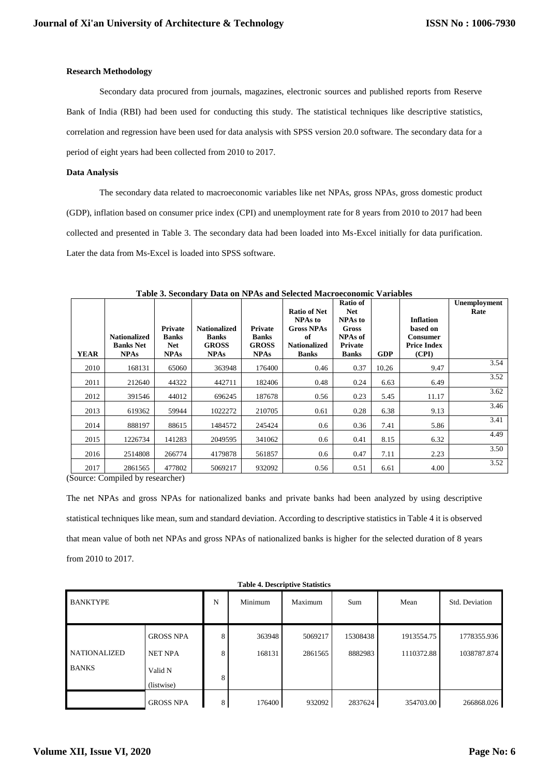## **Research Methodology**

Secondary data procured from journals, magazines, electronic sources and published reports from Reserve Bank of India (RBI) had been used for conducting this study. The statistical techniques like descriptive statistics, correlation and regression have been used for data analysis with SPSS version 20.0 software. The secondary data for a period of eight years had been collected from 2010 to 2017.

## **Data Analysis**

The secondary data related to macroeconomic variables like net NPAs, gross NPAs, gross domestic product (GDP), inflation based on consumer price index (CPI) and unemployment rate for 8 years from 2010 to 2017 had been collected and presented in Table 3. The secondary data had been loaded into Ms-Excel initially for data purification. Later the data from Ms-Excel is loaded into SPSS software.

| <b>YEAR</b> | <b>Nationalized</b><br><b>Banks Net</b><br><b>NPAs</b> | <b>Private</b><br><b>Banks</b><br><b>Net</b><br><b>NPAs</b> | <b>Nationalized</b><br><b>Banks</b><br><b>GROSS</b><br><b>NPAs</b> | <b>Private</b><br><b>Banks</b><br><b>GROSS</b><br><b>NPAs</b> | <b>Ratio of Net</b><br><b>NPAs to</b><br><b>Gross NPAs</b><br>of<br><b>Nationalized</b><br><b>Banks</b> | Ratio of<br><b>Net</b><br><b>NPAs to</b><br>Gross<br>NPAs of<br><b>Private</b><br><b>Banks</b> | <b>GDP</b> | <b>Inflation</b><br>based on<br>Consumer<br><b>Price Index</b><br>(CPI) | Unemployment<br>Rate |
|-------------|--------------------------------------------------------|-------------------------------------------------------------|--------------------------------------------------------------------|---------------------------------------------------------------|---------------------------------------------------------------------------------------------------------|------------------------------------------------------------------------------------------------|------------|-------------------------------------------------------------------------|----------------------|
| 2010        | 168131                                                 | 65060                                                       | 363948                                                             | 176400                                                        | 0.46                                                                                                    | 0.37                                                                                           | 10.26      | 9.47                                                                    | 3.54                 |
| 2011        | 212640                                                 | 44322                                                       | 442711                                                             | 182406                                                        | 0.48                                                                                                    | 0.24                                                                                           | 6.63       | 6.49                                                                    | 3.52                 |
| 2012        | 391546                                                 | 44012                                                       | 696245                                                             | 187678                                                        | 0.56                                                                                                    | 0.23                                                                                           | 5.45       | 11.17                                                                   | 3.62                 |
| 2013        | 619362                                                 | 59944                                                       | 1022272                                                            | 210705                                                        | 0.61                                                                                                    | 0.28                                                                                           | 6.38       | 9.13                                                                    | 3.46                 |
| 2014        | 888197                                                 | 88615                                                       | 1484572                                                            | 245424                                                        | 0.6                                                                                                     | 0.36                                                                                           | 7.41       | 5.86                                                                    | 3.41                 |
| 2015        | 1226734                                                | 141283                                                      | 2049595                                                            | 341062                                                        | 0.6                                                                                                     | 0.41                                                                                           | 8.15       | 6.32                                                                    | 4.49                 |
| 2016        | 2514808                                                | 266774                                                      | 4179878                                                            | 561857                                                        | 0.6                                                                                                     | 0.47                                                                                           | 7.11       | 2.23                                                                    | 3.50                 |
| 2017        | 2861565                                                | 477802                                                      | 5069217                                                            | 932092                                                        | 0.56                                                                                                    | 0.51                                                                                           | 6.61       | 4.00                                                                    | 3.52                 |

**Table 3. Secondary Data on NPAs and Selected Macroeconomic Variables**

(Source: Compiled by researcher)

The net NPAs and gross NPAs for nationalized banks and private banks had been analyzed by using descriptive statistical techniques like mean, sum and standard deviation. According to descriptive statistics in Table 4 it is observed that mean value of both net NPAs and gross NPAs of nationalized banks is higher for the selected duration of 8 years from 2010 to 2017.

| Tuble is Descriptive buildones      |                                    |        |                  |                    |                     |                          |                            |  |
|-------------------------------------|------------------------------------|--------|------------------|--------------------|---------------------|--------------------------|----------------------------|--|
| <b>BANKTYPE</b>                     |                                    | N      | Minimum          | Maximum            | Sum                 | Mean                     | Std. Deviation             |  |
| <b>NATIONALIZED</b><br><b>BANKS</b> | <b>GROSS NPA</b><br><b>NET NPA</b> | 8<br>8 | 363948<br>168131 | 5069217<br>2861565 | 15308438<br>8882983 | 1913554.75<br>1110372.88 | 1778355.936<br>1038787.874 |  |
|                                     | Valid N<br>(listwise)              | 8      |                  |                    |                     |                          |                            |  |
|                                     | <b>GROSS NPA</b>                   | 8      | 176400           | 932092             | 2837624             | 354703.00                | 266868.026                 |  |

**Table 4. Descriptive Statistics**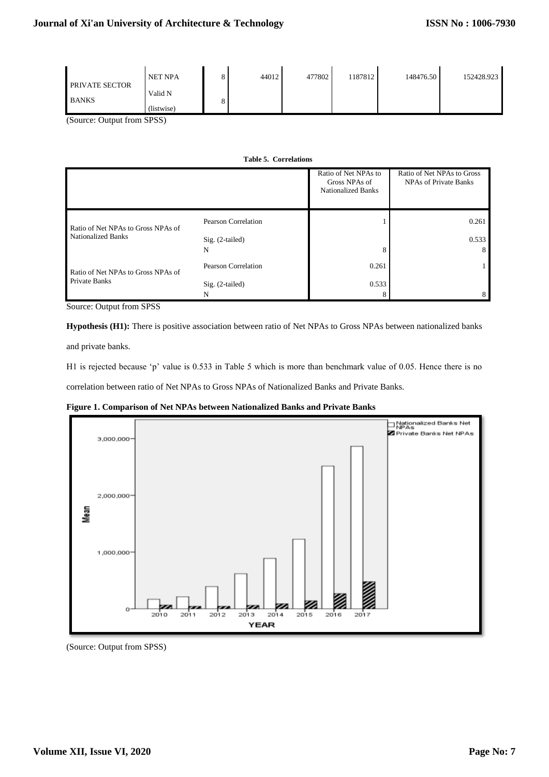|                                | NET NPA            | 44012 | 477802 | 1187812 | 148476.50 | 152428.923 |
|--------------------------------|--------------------|-------|--------|---------|-----------|------------|
| PRIVATE SECTOR<br><b>BANKS</b> | Valid N            |       |        |         |           |            |
| $\sim$                         | (listwise)<br>____ |       |        |         |           |            |

(Source: Output from SPSS)

|  | <b>Table 5. Correlations</b> |
|--|------------------------------|
|--|------------------------------|

|                                                                 |                        | Ratio of Net NPAs to<br>Gross NPAs of<br><b>Nationalized Banks</b> | Ratio of Net NPAs to Gross<br>NPAs of Private Banks |
|-----------------------------------------------------------------|------------------------|--------------------------------------------------------------------|-----------------------------------------------------|
| Ratio of Net NPAs to Gross NPAs of<br><b>Nationalized Banks</b> | Pearson Correlation    |                                                                    | 0.261                                               |
|                                                                 | $Sig. (2-tailed)$<br>N | 8                                                                  | 0.533<br>x.                                         |
| Ratio of Net NPAs to Gross NPAs of                              | Pearson Correlation    | 0.261                                                              |                                                     |
| Private Banks                                                   | $Sig. (2-tailed)$<br>N | 0.533<br>8                                                         |                                                     |

Source: Output from SPSS

**Hypothesis (H1):** There is positive association between ratio of Net NPAs to Gross NPAs between nationalized banks

and private banks.

H1 is rejected because 'p' value is 0.533 in Table 5 which is more than benchmark value of 0.05. Hence there is no

correlation between ratio of Net NPAs to Gross NPAs of Nationalized Banks and Private Banks.

**Figure 1. Comparison of Net NPAs between Nationalized Banks and Private Banks**



(Source: Output from SPSS)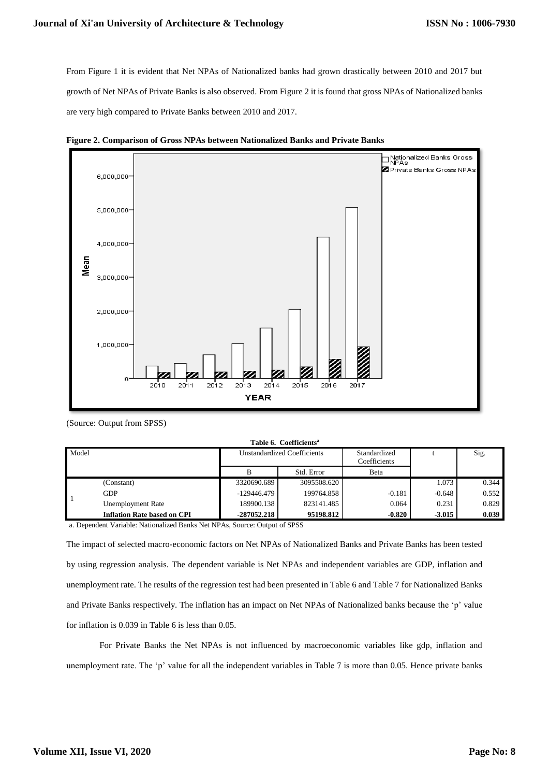From Figure 1 it is evident that Net NPAs of Nationalized banks had grown drastically between 2010 and 2017 but growth of Net NPAs of Private Banks is also observed. From Figure 2 it is found that gross NPAs of Nationalized banks are very high compared to Private Banks between 2010 and 2017.



**Figure 2. Comparison of Gross NPAs between Nationalized Banks and Private Banks**

(Source: Output from SPSS)

**Table 6. Coefficients<sup>a</sup>** Model **Unstandardized Coefficients** Standardized Coefficients t Sig. B Std. Error Beta 1 (Constant) 3320690.689 3095508.620 1.073 0.344 GDP -129446.479 199764.858 -0.181 -0.648 0.552 Unemployment Rate 189900.138 823141.485 0.064 0.231 0.829 **Inflation Rate based on CPI -287052.218 95198.812 -0.820 -3.015 0.039**

a. Dependent Variable: Nationalized Banks Net NPAs, Source: Output of SPSS

The impact of selected macro-economic factors on Net NPAs of Nationalized Banks and Private Banks has been tested by using regression analysis. The dependent variable is Net NPAs and independent variables are GDP, inflation and unemployment rate. The results of the regression test had been presented in Table 6 and Table 7 for Nationalized Banks and Private Banks respectively. The inflation has an impact on Net NPAs of Nationalized banks because the 'p' value for inflation is 0.039 in Table 6 is less than 0.05.

For Private Banks the Net NPAs is not influenced by macroeconomic variables like gdp, inflation and unemployment rate. The 'p' value for all the independent variables in Table 7 is more than 0.05. Hence private banks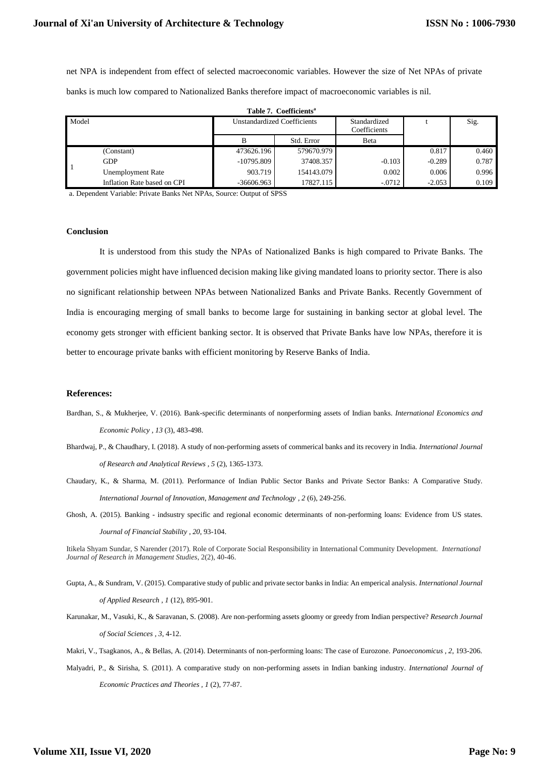net NPA is independent from effect of selected macroeconomic variables. However the size of Net NPAs of private banks is much low compared to Nationalized Banks therefore impact of macroeconomic variables is nil.

| Table 7. Coefficients <sup>a</sup> |                             |                                    |            |                              |          |       |  |  |  |  |
|------------------------------------|-----------------------------|------------------------------------|------------|------------------------------|----------|-------|--|--|--|--|
| Model                              |                             | <b>Unstandardized Coefficients</b> |            | Standardized<br>Coefficients |          | Sig.  |  |  |  |  |
|                                    |                             |                                    | Std. Error | Beta                         |          |       |  |  |  |  |
|                                    | (Constant)                  | 473626.196                         | 579670.979 |                              | 0.817    | 0.460 |  |  |  |  |
|                                    | <b>GDP</b>                  | -10795.809                         | 37408.357  | $-0.103$                     | $-0.289$ | 0.787 |  |  |  |  |
|                                    | <b>Unemployment Rate</b>    | 903.719                            | 154143.079 | 0.002                        | 0.006    | 0.996 |  |  |  |  |
|                                    | Inflation Rate based on CPI | -36606.963                         | 17827.115  | $-.0712$                     | $-2.053$ | 0.109 |  |  |  |  |

a. Dependent Variable: Private Banks Net NPAs, Source: Output of SPSS

## **Conclusion**

It is understood from this study the NPAs of Nationalized Banks is high compared to Private Banks. The government policies might have influenced decision making like giving mandated loans to priority sector. There is also no significant relationship between NPAs between Nationalized Banks and Private Banks. Recently Government of India is encouraging merging of small banks to become large for sustaining in banking sector at global level. The economy gets stronger with efficient banking sector. It is observed that Private Banks have low NPAs, therefore it is better to encourage private banks with efficient monitoring by Reserve Banks of India.

### **References:**

- Bardhan, S., & Mukherjee, V. (2016). Bank-specific determinants of nonperforming assets of Indian banks. *International Economics and Economic Policy , 13* (3), 483-498.
- Bhardwaj, P., & Chaudhary, I. (2018). A study of non-performing assets of commerical banks and its recovery in India. *International Journal of Research and Analytical Reviews , 5* (2), 1365-1373.
- Chaudary, K., & Sharma, M. (2011). Performance of Indian Public Sector Banks and Private Sector Banks: A Comparative Study. *International Journal of Innovation, Management and Technology , 2* (6), 249-256.
- Ghosh, A. (2015). Banking indsustry specific and regional economic determinants of non-performing loans: Evidence from US states. *Journal of Financial Stability , 20*, 93-104.

- Gupta, A., & Sundram, V. (2015). Comparative study of public and private sector banks in India: An emperical analysis. *International Journal of Applied Research , 1* (12), 895-901.
- Karunakar, M., Vasuki, K., & Saravanan, S. (2008). Are non-performing assets gloomy or greedy from Indian perspective? *Research Journal of Social Sciences , 3*, 4-12.
- Makri, V., Tsagkanos, A., & Bellas, A. (2014). Determinants of non-performing loans: The case of Eurozone. *Panoeconomicus , 2*, 193-206.
- Malyadri, P., & Sirisha, S. (2011). A comparative study on non-performing assets in Indian banking industry. *International Journal of Economic Practices and Theories , 1* (2), 77-87.

Itikela Shyam Sundar, S Narender (2017). Role of Corporate Social Responsibility in International Community Development. *International Journal of Research in Management Studies*, 2(2), 40-46.